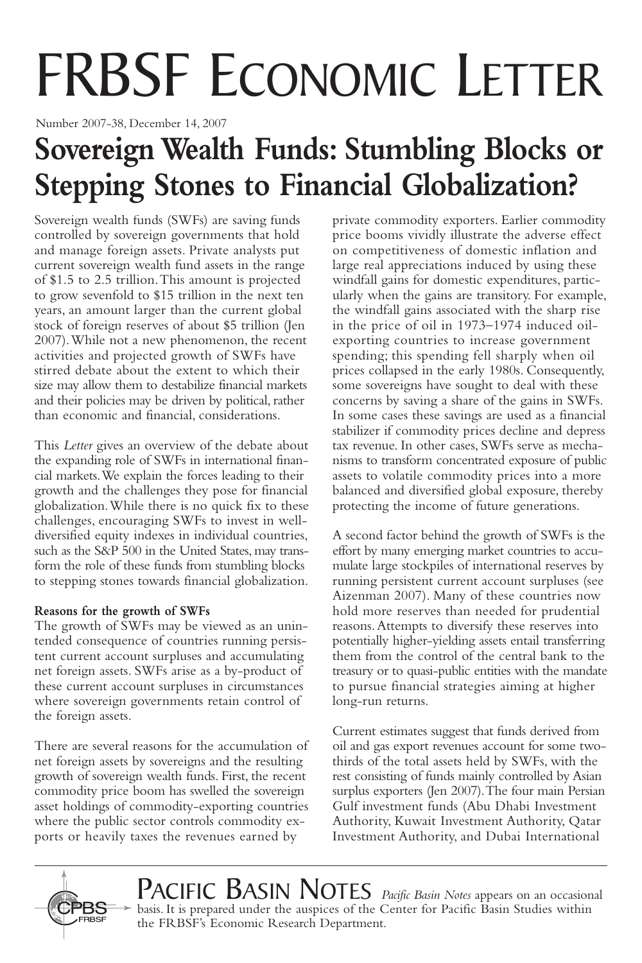# FRBSF ECONOMIC LETTER

Number 2007-38, December 14, 2007

## **Sovereign Wealth Funds: Stumbling Blocks or Stepping Stones to Financial Globalization?**

Sovereign wealth funds (SWFs) are saving funds controlled by sovereign governments that hold and manage foreign assets. Private analysts put current sovereign wealth fund assets in the range of \$1.5 to 2.5 trillion.This amount is projected to grow sevenfold to \$15 trillion in the next ten years, an amount larger than the current global stock of foreign reserves of about \$5 trillion (Jen 2007).While not a new phenomenon, the recent activities and projected growth of SWFs have stirred debate about the extent to which their size may allow them to destabilize financial markets and their policies may be driven by political, rather than economic and financial, considerations.

This *Letter* gives an overview of the debate about the expanding role of SWFs in international financial markets.We explain the forces leading to their growth and the challenges they pose for financial globalization.While there is no quick fix to these challenges, encouraging SWFs to invest in welldiversified equity indexes in individual countries, such as the S&P 500 in the United States, may transform the role of these funds from stumbling blocks to stepping stones towards financial globalization.

#### **Reasons for the growth of SWFs**

The growth of SWFs may be viewed as an unintended consequence of countries running persistent current account surpluses and accumulating net foreign assets. SWFs arise as a by-product of these current account surpluses in circumstances where sovereign governments retain control of the foreign assets.

There are several reasons for the accumulation of net foreign assets by sovereigns and the resulting growth of sovereign wealth funds. First, the recent commodity price boom has swelled the sovereign asset holdings of commodity-exporting countries where the public sector controls commodity exports or heavily taxes the revenues earned by

private commodity exporters. Earlier commodity price booms vividly illustrate the adverse effect on competitiveness of domestic inflation and large real appreciations induced by using these windfall gains for domestic expenditures, particularly when the gains are transitory. For example, the windfall gains associated with the sharp rise in the price of oil in 1973–1974 induced oilexporting countries to increase government spending; this spending fell sharply when oil prices collapsed in the early 1980s. Consequently, some sovereigns have sought to deal with these concerns by saving a share of the gains in SWFs. In some cases these savings are used as a financial stabilizer if commodity prices decline and depress tax revenue. In other cases, SWFs serve as mechanisms to transform concentrated exposure of public assets to volatile commodity prices into a more balanced and diversified global exposure, thereby protecting the income of future generations.

A second factor behind the growth of SWFs is the effort by many emerging market countries to accumulate large stockpiles of international reserves by running persistent current account surpluses (see Aizenman 2007). Many of these countries now hold more reserves than needed for prudential reasons.Attempts to diversify these reserves into potentially higher-yielding assets entail transferring them from the control of the central bank to the treasury or to quasi-public entities with the mandate to pursue financial strategies aiming at higher long-run returns.

Current estimates suggest that funds derived from oil and gas export revenues account for some twothirds of the total assets held by SWFs, with the rest consisting of funds mainly controlled by Asian surplus exporters (Jen 2007).The four main Persian Gulf investment funds (Abu Dhabi Investment Authority, Kuwait Investment Authority, Qatar Investment Authority, and Dubai International



PACIFIC BASIN NOTES *Pacific Basin Notes* appears on an occasional  $\triangleright$  basis. It is prepared under the auspices of the Center for Pacific Basin Studies within the FRBSF's Economic Research Department.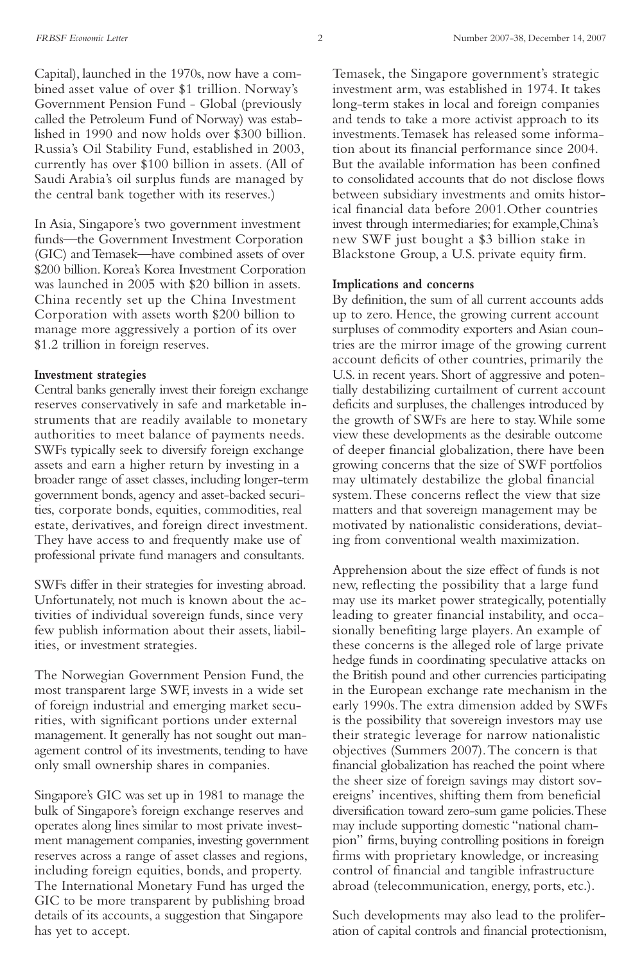Capital), launched in the 1970s, now have a combined asset value of over \$1 trillion. Norway's Government Pension Fund - Global (previously called the Petroleum Fund of Norway) was established in 1990 and now holds over \$300 billion. Russia's Oil Stability Fund, established in 2003, currently has over \$100 billion in assets. (All of Saudi Arabia's oil surplus funds are managed by the central bank together with its reserves.)

In Asia, Singapore's two government investment funds—the Government Investment Corporation (GIC) and Temasek—have combined assets of over \$200 billion.Korea's Korea Investment Corporation was launched in 2005 with \$20 billion in assets. China recently set up the China Investment Corporation with assets worth \$200 billion to manage more aggressively a portion of its over \$1.2 trillion in foreign reserves.

#### **Investment strategies**

Central banks generally invest their foreign exchange reserves conservatively in safe and marketable instruments that are readily available to monetary authorities to meet balance of payments needs. SWFs typically seek to diversify foreign exchange assets and earn a higher return by investing in a broader range of asset classes, including longer-term government bonds, agency and asset-backed securities, corporate bonds, equities, commodities, real estate, derivatives, and foreign direct investment. They have access to and frequently make use of professional private fund managers and consultants.

SWFs differ in their strategies for investing abroad. Unfortunately, not much is known about the activities of individual sovereign funds, since very few publish information about their assets, liabilities, or investment strategies.

The Norwegian Government Pension Fund, the most transparent large SWF, invests in a wide set of foreign industrial and emerging market securities, with significant portions under external management. It generally has not sought out management control of its investments, tending to have only small ownership shares in companies.

Singapore's GIC was set up in 1981 to manage the bulk of Singapore's foreign exchange reserves and operates along lines similar to most private investment management companies, investing government reserves across a range of asset classes and regions, including foreign equities, bonds, and property. The International Monetary Fund has urged the GIC to be more transparent by publishing broad details of its accounts, a suggestion that Singapore has yet to accept.

Temasek, the Singapore government's strategic investment arm, was established in 1974. It takes long-term stakes in local and foreign companies and tends to take a more activist approach to its investments.Temasek has released some information about its financial performance since 2004. But the available information has been confined to consolidated accounts that do not disclose flows between subsidiary investments and omits historical financial data before 2001.Other countries invest through intermediaries; for example,China's new SWF just bought a \$3 billion stake in Blackstone Group, a U.S. private equity firm.

#### **Implications and concerns**

By definition, the sum of all current accounts adds up to zero. Hence, the growing current account surpluses of commodity exporters and Asian countries are the mirror image of the growing current account deficits of other countries, primarily the U.S. in recent years. Short of aggressive and potentially destabilizing curtailment of current account deficits and surpluses, the challenges introduced by the growth of SWFs are here to stay.While some view these developments as the desirable outcome of deeper financial globalization, there have been growing concerns that the size of SWF portfolios may ultimately destabilize the global financial system.These concerns reflect the view that size matters and that sovereign management may be motivated by nationalistic considerations, deviating from conventional wealth maximization.

Apprehension about the size effect of funds is not new, reflecting the possibility that a large fund may use its market power strategically, potentially leading to greater financial instability, and occasionally benefiting large players.An example of these concerns is the alleged role of large private hedge funds in coordinating speculative attacks on the British pound and other currencies participating in the European exchange rate mechanism in the early 1990s.The extra dimension added by SWFs is the possibility that sovereign investors may use their strategic leverage for narrow nationalistic objectives (Summers 2007).The concern is that financial globalization has reached the point where the sheer size of foreign savings may distort sovereigns' incentives, shifting them from beneficial diversification toward zero-sum game policies.These may include supporting domestic "national champion" firms, buying controlling positions in foreign firms with proprietary knowledge, or increasing control of financial and tangible infrastructure abroad (telecommunication, energy, ports, etc.).

Such developments may also lead to the proliferation of capital controls and financial protectionism,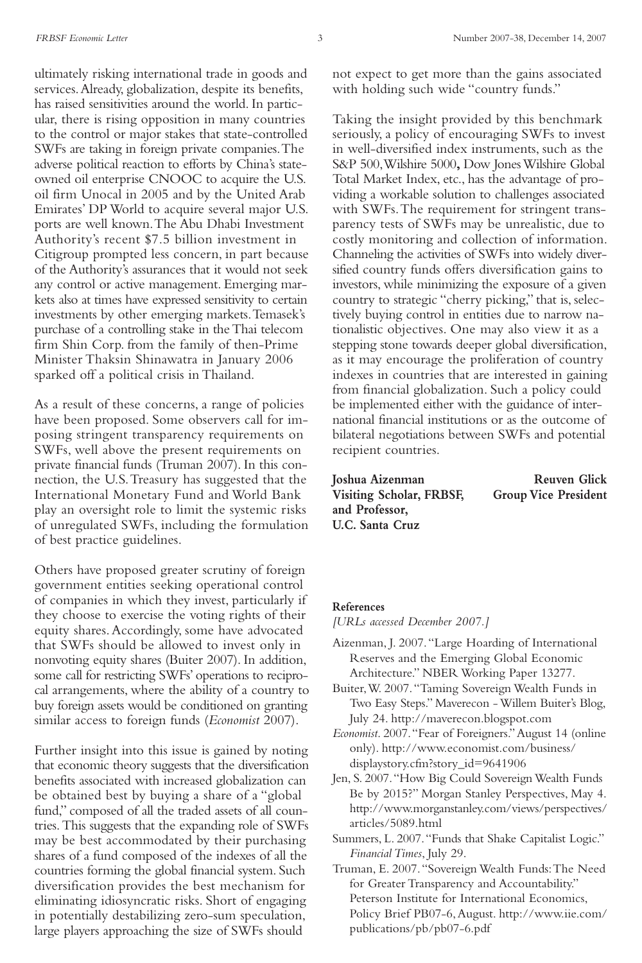ultimately risking international trade in goods and services.Already, globalization, despite its benefits, has raised sensitivities around the world. In particular, there is rising opposition in many countries to the control or major stakes that state-controlled SWFs are taking in foreign private companies.The adverse political reaction to efforts by China's stateowned oil enterprise CNOOC to acquire the U.S. oil firm Unocal in 2005 and by the United Arab Emirates' DP World to acquire several major U.S. ports are well known.The Abu Dhabi Investment Authority's recent \$7.5 billion investment in Citigroup prompted less concern, in part because of the Authority's assurances that it would not seek any control or active management. Emerging markets also at times have expressed sensitivity to certain investments by other emerging markets.Temasek's purchase of a controlling stake in theThai telecom firm Shin Corp. from the family of then-Prime Minister Thaksin Shinawatra in January 2006 sparked off a political crisis in Thailand.

As a result of these concerns, a range of policies have been proposed. Some observers call for imposing stringent transparency requirements on SWFs, well above the present requirements on private financial funds (Truman 2007). In this connection, the U.S.Treasury has suggested that the International Monetary Fund and World Bank play an oversight role to limit the systemic risks of unregulated SWFs, including the formulation of best practice guidelines.

Others have proposed greater scrutiny of foreign government entities seeking operational control of companies in which they invest, particularly if they choose to exercise the voting rights of their equity shares.Accordingly, some have advocated that SWFs should be allowed to invest only in nonvoting equity shares (Buiter 2007). In addition, some call for restricting SWFs' operations to reciprocal arrangements, where the ability of a country to buy foreign assets would be conditioned on granting similar access to foreign funds (*Economist* 2007).

Further insight into this issue is gained by noting that economic theory suggests that the diversification benefits associated with increased globalization can be obtained best by buying a share of a "global fund," composed of all the traded assets of all countries.This suggests that the expanding role of SWFs may be best accommodated by their purchasing shares of a fund composed of the indexes of all the countries forming the global financial system. Such diversification provides the best mechanism for eliminating idiosyncratic risks. Short of engaging in potentially destabilizing zero-sum speculation, large players approaching the size of SWFs should

not expect to get more than the gains associated with holding such wide "country funds."

Taking the insight provided by this benchmark seriously, a policy of encouraging SWFs to invest in well-diversified index instruments, such as the S&P 500,Wilshire 5000**,** Dow JonesWilshire Global Total Market Index, etc., has the advantage of providing a workable solution to challenges associated with SWFs.The requirement for stringent transparency tests of SWFs may be unrealistic, due to costly monitoring and collection of information. Channeling the activities of SWFs into widely diversified country funds offers diversification gains to investors, while minimizing the exposure of a given country to strategic "cherry picking," that is, selectively buying control in entities due to narrow nationalistic objectives. One may also view it as a stepping stone towards deeper global diversification, as it may encourage the proliferation of country indexes in countries that are interested in gaining from financial globalization. Such a policy could be implemented either with the guidance of international financial institutions or as the outcome of bilateral negotiations between SWFs and potential recipient countries.

**Joshua Aizenman Reuven Glick Visiting Scholar, FRBSF, Group Vice President and Professor, U.C. Santa Cruz**

#### **References**

*[URLs accessed December 2007.]*

- Aizenman, J. 2007."Large Hoarding of International Reserves and the Emerging Global Economic Architecture." NBER Working Paper 13277.
- Buiter,W. 2007."Taming Sovereign Wealth Funds in Two Easy Steps." Maverecon -Willem Buiter's Blog, July 24. http://maverecon.blogspot.com
- *Economist*. 2007."Fear of Foreigners."August 14 (online only). http://www.economist.com/business/ displaystory.cfm?story\_id=9641906
- Jen, S. 2007."How Big Could SovereignWealth Funds Be by 2015?" Morgan Stanley Perspectives, May 4. http://www.morganstanley.com/views/perspectives/ articles/5089.html
- Summers, L. 2007."Funds that Shake Capitalist Logic." *FinancialTimes*, July 29.

Truman, E. 2007."Sovereign Wealth Funds:The Need for Greater Transparency and Accountability." Peterson Institute for International Economics, Policy Brief PB07-6,August. http://www.iie.com/ publications/pb/pb07-6.pdf